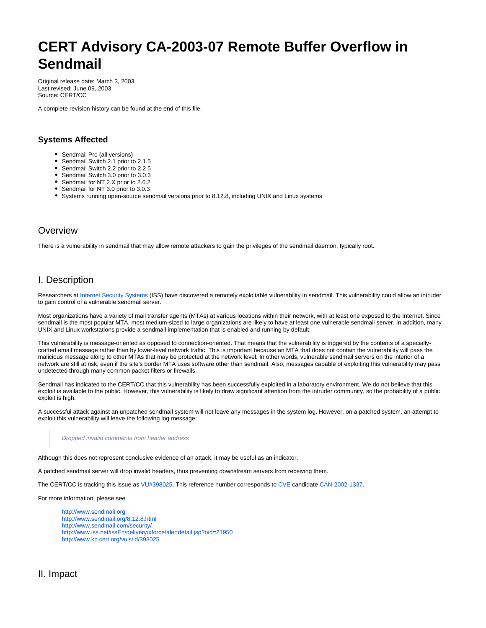# **CERT Advisory CA-2003-07 Remote Buffer Overflow in Sendmail**

Original release date: March 3, 2003 Last revised: June 09, 2003 Source: CERT/CC

A complete revision history can be found at the end of this file.

# **Systems Affected**

- Sendmail Pro (all versions)
- Sendmail Switch 2.1 prior to 2.1.5
- Sendmail Switch 2.2 prior to 2.2.5
- Sendmail Switch 3.0 prior to 3.0.3 • Sendmail for NT 2.X prior to 2.6.2
- Sendmail for NT 3.0 prior to 3.0.3
- Systems running open-source sendmail versions prior to 8.12.8, including UNIX and Linux systems

# **Overview**

There is a vulnerability in sendmail that may allow remote attackers to gain the privileges of the sendmail daemon, typically root.

# I. Description

Researchers at [Internet Security Systems](http://www.iss.net/) (ISS) have discovered a remotely exploitable vulnerability in sendmail. This vulnerability could allow an intruder to gain control of a vulnerable sendmail server.

Most organizations have a variety of mail transfer agents (MTAs) at various locations within their network, with at least one exposed to the Internet. Since sendmail is the most popular MTA, most medium-sized to large organizations are likely to have at least one vulnerable sendmail server. In addition, many UNIX and Linux workstations provide a sendmail implementation that is enabled and running by default.

This vulnerability is message-oriented as opposed to connection-oriented. That means that the vulnerability is triggered by the contents of a speciallycrafted email message rather than by lower-level network traffic. This is important because an MTA that does not contain the vulnerability will pass the malicious message along to other MTAs that may be protected at the network level. In other words, vulnerable sendmail servers on the interior of a network are still at risk, even if the site's border MTA uses software other than sendmail. Also, messages capable of exploiting this vulnerability may pass undetected through many common packet filters or firewalls.

Sendmail has indicated to the CERT/CC that this vulnerability has been successfully exploited in a laboratory environment. We do not believe that this exploit is available to the public. However, this vulnerability is likely to draw significant attention from the intruder community, so the probability of a public exploit is high.

A successful attack against an unpatched sendmail system will not leave any messages in the system log. However, on a patched system, an attempt to exploit this vulnerability will leave the following log message:

#### Dropped invalid comments from header address

Although this does not represent conclusive evidence of an attack, it may be useful as an indicator.

A patched sendmail server will drop invalid headers, thus preventing downstream servers from receiving them.

The CERT/CC is tracking this issue as [VU#398025](http://www.kb.cert.org/vuls/id/398025). This reference number corresponds to [CVE](http://www.cve.mitre.org/) candidate [CAN-2002-1337](http://cve.mitre.org/cgi-bin/cvename.cgi?name=
CAN-2002-1337).

For more information, please see

<http://www.sendmail.org> <http://www.sendmail.org/8.12.8.html> <http://www.sendmail.com/security/> <http://www.iss.net/issEn/delivery/xforce/alertdetail.jsp?oid=21950> <http://www.kb.cert.org/vuls/id/398025>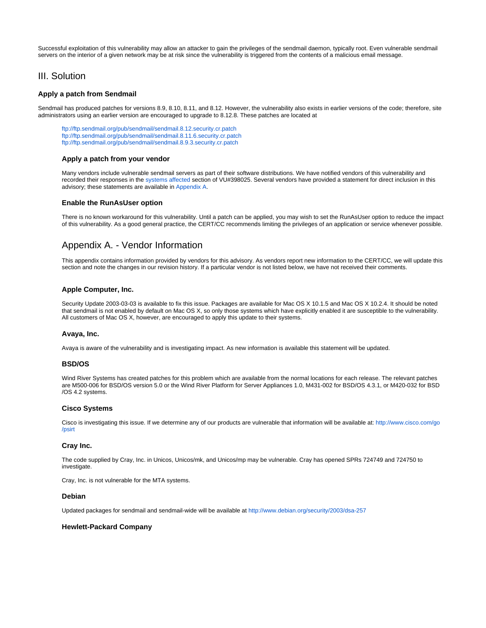Successful exploitation of this vulnerability may allow an attacker to gain the privileges of the sendmail daemon, typically root. Even vulnerable sendmail servers on the interior of a given network may be at risk since the vulnerability is triggered from the contents of a malicious email message.

# III. Solution

# **Apply a patch from Sendmail**

Sendmail has produced patches for versions 8.9, 8.10, 8.11, and 8.12. However, the vulnerability also exists in earlier versions of the code; therefore, site administrators using an earlier version are encouraged to upgrade to 8.12.8. These patches are located at

<ftp://ftp.sendmail.org/pub/sendmail/sendmail.8.12.security.cr.patch> <ftp://ftp.sendmail.org/pub/sendmail/sendmail.8.11.6.security.cr.patch> <ftp://ftp.sendmail.org/pub/sendmail/sendmail.8.9.3.security.cr.patch>

## **Apply a patch from your vendor**

Many vendors include vulnerable sendmail servers as part of their software distributions. We have notified vendors of this vulnerability and recorded their responses in the [systems affected](http://www.kb.cert.org/vuls/id/398025#systems) section of VU#398025. Several vendors have provided a statement for direct inclusion in this advisory; these statements are available in [Appendix A](#page-1-0).

# **Enable the RunAsUser option**

There is no known workaround for this vulnerability. Until a patch can be applied, you may wish to set the RunAsUser option to reduce the impact of this vulnerability. As a good general practice, the CERT/CC recommends limiting the privileges of an application or service whenever possible.

# <span id="page-1-0"></span>Appendix A. - Vendor Information

This appendix contains information provided by vendors for this advisory. As vendors report new information to the CERT/CC, we will update this section and note the changes in our revision history. If a particular vendor is not listed below, we have not received their comments.

# **Apple Computer, Inc.**

Security Update 2003-03-03 is available to fix this issue. Packages are available for Mac OS X 10.1.5 and Mac OS X 10.2.4. It should be noted that sendmail is not enabled by default on Mac OS X, so only those systems which have explicitly enabled it are susceptible to the vulnerability. All customers of Mac OS X, however, are encouraged to apply this update to their systems.

#### **Avaya, Inc.**

Avaya is aware of the vulnerability and is investigating impact. As new information is available this statement will be updated.

#### **BSD/OS**

Wind River Systems has created patches for this problem which are available from the normal locations for each release. The relevant patches are M500-006 for BSD/OS version 5.0 or the Wind River Platform for Server Appliances 1.0, M431-002 for BSD/OS 4.3.1, or M420-032 for BSD /OS 4.2 systems.

#### **Cisco Systems**

Cisco is investigating this issue. If we determine any of our products are vulnerable that information will be available at: [http://www.cisco.com/go](http://www.cisco.com/go/psirt) [/psirt](http://www.cisco.com/go/psirt)

#### **Cray Inc.**

The code supplied by Cray, Inc. in Unicos, Unicos/mk, and Unicos/mp may be vulnerable. Cray has opened SPRs 724749 and 724750 to investigate.

Cray, Inc. is not vulnerable for the MTA systems.

#### **Debian**

Updated packages for sendmail and sendmail-wide will be available at<http://www.debian.org/security/2003/dsa-257>

#### **Hewlett-Packard Company**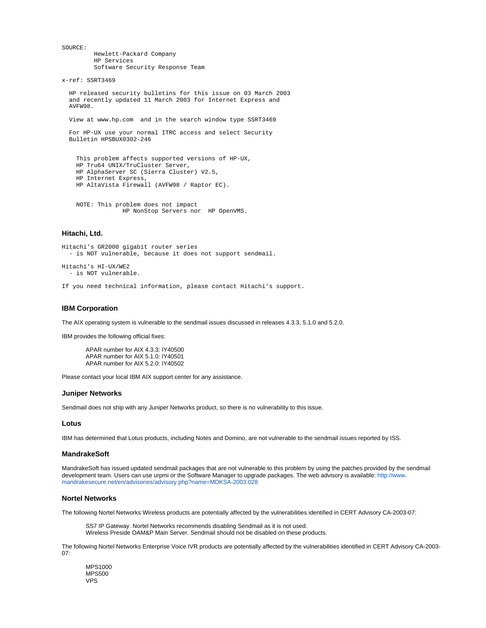SOURCE: Hewlett-Packard Company HP Services Software Security Response Team

x-ref: SSRT3469

 HP released security bulletins for this issue on 03 March 2003 and recently updated 11 March 2003 for Internet Express and AVFW98.

View at www.hp.com and in the search window type SSRT3469

 For HP-UX use your normal ITRC access and select Security Bulletin HPSBUX0302-246

```
 This problem affects supported versions of HP-UX,
 HP Tru64 UNIX/TruCluster Server,
 HP AlphaServer SC (Sierra Cluster) V2.5,
 HP Internet Express,
 HP AltaVista Firewall (AVFW98 / Raptor EC).
```
 NOTE: This problem does not impact HP NonStop Servers nor HP OpenVMS.

# **Hitachi, Ltd.**

```
Hitachi's GR2000 gigabit router series
   - is NOT vulnerable, because it does not support sendmail.
Hitachi's HI-UX/WE2
   - is NOT vulnerable.
```
If you need technical information, please contact Hitachi's support.

# **IBM Corporation**

The AIX operating system is vulnerable to the sendmail issues discussed in releases 4.3.3, 5.1.0 and 5.2.0.

IBM provides the following official fixes:

APAR number for AIX 4.3.3: IY40500 APAR number for AIX 5.1.0: IY40501 APAR number for AIX 5.2.0: IY40502

Please contact your local IBM AIX support center for any assistance.

# **Juniper Networks**

Sendmail does not ship with any Juniper Networks product, so there is no vulnerability to this issue.

# **Lotus**

IBM has determined that Lotus products, including Notes and Domino, are not vulnerable to the sendmail issues reported by ISS.

# **MandrakeSoft**

MandrakeSoft has issued updated sendmail packages that are not vulnerable to this problem by using the patches provided by the sendmail development team. Users can use urpmi or the Software Manager to upgrade packages. The web advisory is available: [http://www.](http://www.mandrakesecure.net/en/advisories/advisory.php?name=MDKSA-2003:028) [mandrakesecure.net/en/advisories/advisory.php?name=MDKSA-2003:028](http://www.mandrakesecure.net/en/advisories/advisory.php?name=MDKSA-2003:028)

#### **Nortel Networks**

The following Nortel Networks Wireless products are potentially affected by the vulnerabilities identified in CERT Advisory CA-2003-07:

SS7 IP Gateway. Nortel Networks recommends disabling Sendmail as it is not used. Wireless Preside OAM&P Main Server. Sendmail should not be disabled on these products.

The following Nortel Networks Enterprise Voice IVR products are potentially affected by the vulnerabilities identified in CERT Advisory CA-2003-  $07<sup>1</sup>$ 

MPS1000 MPS500 VPS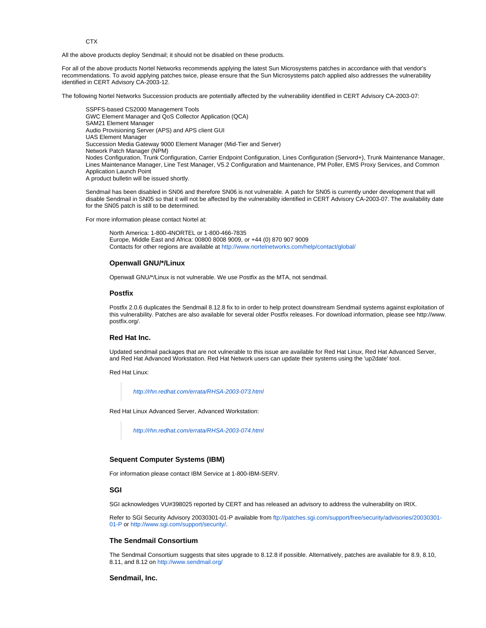**CTX** 

All the above products deploy Sendmail; it should not be disabled on these products.

For all of the above products Nortel Networks recommends applying the latest Sun Microsystems patches in accordance with that vendor's recommendations. To avoid applying patches twice, please ensure that the Sun Microsystems patch applied also addresses the vulnerability identified in CERT Advisory CA-2003-12.

The following Nortel Networks Succession products are potentially affected by the vulnerability identified in CERT Advisory CA-2003-07:

SSPFS-based CS2000 Management Tools GWC Element Manager and QoS Collector Application (QCA) SAM21 Element Manager Audio Provisioning Server (APS) and APS client GUI UAS Element Manager Succession Media Gateway 9000 Element Manager (Mid-Tier and Server) Network Patch Manager (NPM) Nodes Configuration, Trunk Configuration, Carrier Endpoint Configuration, Lines Configuration (Servord+), Trunk Maintenance Manager, Lines Maintenance Manager, Line Test Manager, V5.2 Configuration and Maintenance, PM Poller, EMS Proxy Services, and Common Application Launch Point A product bulletin will be issued shortly.

Sendmail has been disabled in SN06 and therefore SN06 is not vulnerable. A patch for SN05 is currently under development that will disable Sendmail in SN05 so that it will not be affected by the vulnerability identified in CERT Advisory CA-2003-07. The availability date for the SN05 patch is still to be determined.

For more information please contact Nortel at:

North America: 1-800-4NORTEL or 1-800-466-7835 Europe, Middle East and Africa: 00800 8008 9009, or +44 (0) 870 907 9009 Contacts for other regions are available at<http://www.nortelnetworks.com/help/contact/global/>

#### **Openwall GNU/\*/Linux**

Openwall GNU/\*/Linux is not vulnerable. We use Postfix as the MTA, not sendmail.

#### **Postfix**

Postfix 2.0.6 duplicates the Sendmail 8.12.8 fix to in order to help protect downstream Sendmail systems against exploitation of this vulnerability. Patches are also available for several older Postfix releases. For download information, please see http://www. postfix.org/.

# **Red Hat Inc.**

Updated sendmail packages that are not vulnerable to this issue are available for Red Hat Linux, Red Hat Advanced Server, and Red Hat Advanced Workstation. Red Hat Network users can update their systems using the 'up2date' tool.

Red Hat Linux:

<http://rhn.redhat.com/errata/RHSA-2003-073.html>

Red Hat Linux Advanced Server, Advanced Workstation:

<http://rhn.redhat.com/errata/RHSA-2003-074.html>

## **Sequent Computer Systems (IBM)**

For information please contact IBM Service at 1-800-IBM-SERV.

## **SGI**

SGI acknowledges VU#398025 reported by CERT and has released an advisory to address the vulnerability on IRIX.

Refer to SGI Security Advisory 20030301-01-P available from [ftp://patches.sgi.com/support/free/security/advisories/20030301-](ftp://patches.sgi.com/support/free/security/advisories/20030301-01-P) [01-P](ftp://patches.sgi.com/support/free/security/advisories/20030301-01-P) or [http://www.sgi.com/support/security/.](http://www.sgi.com/support/security/)

## **The Sendmail Consortium**

The Sendmail Consortium suggests that sites upgrade to 8.12.8 if possible. Alternatively, patches are available for 8.9, 8.10, 8.11, and 8.12 on<http://www.sendmail.org/>

#### **Sendmail, Inc.**